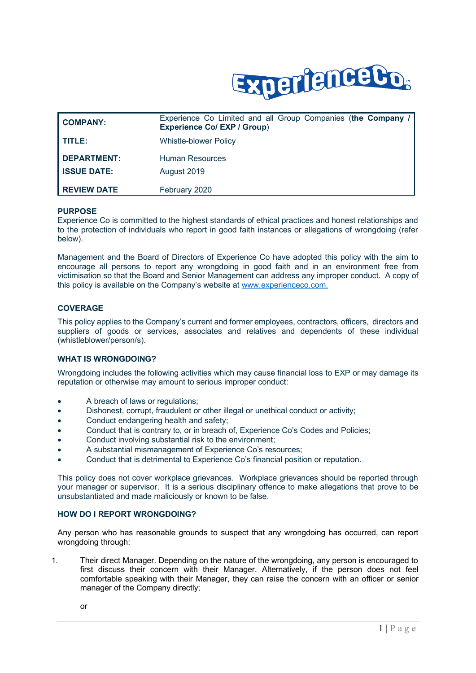

| <b>COMPANY:</b>                          | Experience Co Limited and all Group Companies (the Company /<br><b>Experience Co/ EXP / Group)</b> |
|------------------------------------------|----------------------------------------------------------------------------------------------------|
| TITLE:                                   | <b>Whistle-blower Policy</b>                                                                       |
| <b>DEPARTMENT:</b><br><b>ISSUE DATE:</b> | Human Resources<br>August 2019                                                                     |
| <b>REVIEW DATE</b>                       | February 2020                                                                                      |

#### **PURPOSE**

Experience Co is committed to the highest standards of ethical practices and honest relationships and to the protection of individuals who report in good faith instances or allegations of wrongdoing (refer below).

Management and the Board of Directors of Experience Co have adopted this policy with the aim to encourage all persons to report any wrongdoing in good faith and in an environment free from victimisation so that the Board and Senior Management can address any improper conduct. A copy of this policy is available on the Company's website at [www.experienceco.com.](http://www.experienceco.com/)

### **COVERAGE**

This policy applies to the Company's current and former employees, contractors, officers, directors and suppliers of goods or services, associates and relatives and dependents of these individual (whistleblower/person/s).

#### **WHAT IS WRONGDOING?**

Wrongdoing includes the following activities which may cause financial loss to EXP or may damage its reputation or otherwise may amount to serious improper conduct:

- A breach of laws or regulations;
- Dishonest, corrupt, fraudulent or other illegal or unethical conduct or activity;
- Conduct endangering health and safety;
- Conduct that is contrary to, or in breach of, Experience Co's Codes and Policies;
- Conduct involving substantial risk to the environment;
- A substantial mismanagement of Experience Co's resources;
- Conduct that is detrimental to Experience Co's financial position or reputation.

This policy does not cover workplace grievances. Workplace grievances should be reported through your manager or supervisor. It is a serious disciplinary offence to make allegations that prove to be unsubstantiated and made maliciously or known to be false.

#### **HOW DO I REPORT WRONGDOING?**

Any person who has reasonable grounds to suspect that any wrongdoing has occurred, can report wrongdoing through:

1. Their direct Manager. Depending on the nature of the wrongdoing, any person is encouraged to first discuss their concern with their Manager. Alternatively, if the person does not feel comfortable speaking with their Manager, they can raise the concern with an officer or senior manager of the Company directly;